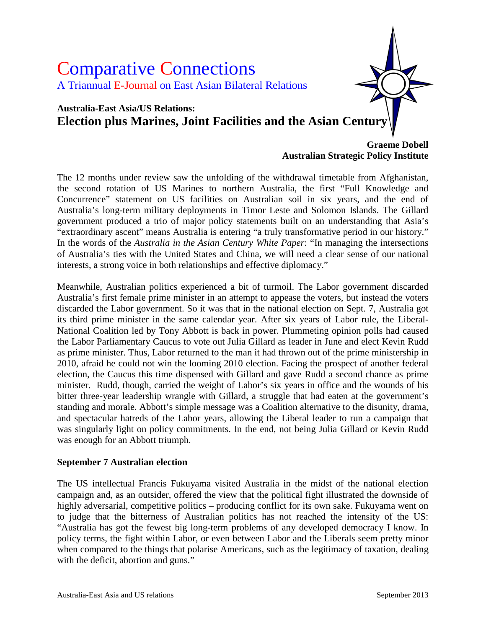

**Australian Strategic Policy Institute**

The 12 months under review saw the unfolding of the withdrawal timetable from Afghanistan, the second rotation of US Marines to northern Australia, the first "Full Knowledge and Concurrence" statement on US facilities on Australian soil in six years, and the end of Australia's long-term military deployments in Timor Leste and Solomon Islands. The Gillard government produced a trio of major policy statements built on an understanding that Asia's "extraordinary ascent" means Australia is entering "a truly transformative period in our history." In the words of the *Australia in the Asian Century White Paper*: "In managing the intersections of Australia's ties with the United States and China, we will need a clear sense of our national interests, a strong voice in both relationships and effective diplomacy."

Meanwhile, Australian politics experienced a bit of turmoil. The Labor government discarded Australia's first female prime minister in an attempt to appease the voters, but instead the voters discarded the Labor government. So it was that in the national election on Sept. 7, Australia got its third prime minister in the same calendar year. After six years of Labor rule, the Liberal-National Coalition led by Tony Abbott is back in power. Plummeting opinion polls had caused the Labor Parliamentary Caucus to vote out Julia Gillard as leader in June and elect Kevin Rudd as prime minister. Thus, Labor returned to the man it had thrown out of the prime ministership in 2010, afraid he could not win the looming 2010 election. Facing the prospect of another federal election, the Caucus this time dispensed with Gillard and gave Rudd a second chance as prime minister. Rudd, though, carried the weight of Labor's six years in office and the wounds of his bitter three-year leadership wrangle with Gillard, a struggle that had eaten at the government's standing and morale. Abbott's simple message was a Coalition alternative to the disunity, drama, and spectacular hatreds of the Labor years, allowing the Liberal leader to run a campaign that was singularly light on policy commitments. In the end, not being Julia Gillard or Kevin Rudd was enough for an Abbott triumph.

#### **September 7 Australian election**

The US intellectual Francis Fukuyama visited Australia in the midst of the national election campaign and, as an outsider, offered the view that the political fight illustrated the downside of highly adversarial, competitive politics – producing conflict for its own sake. Fukuyama went on to judge that the bitterness of Australian politics has not reached the intensity of the US: "Australia has got the fewest big long-term problems of any developed democracy I know. In policy terms, the fight within Labor, or even between Labor and the Liberals seem pretty minor when compared to the things that polarise Americans, such as the legitimacy of taxation, dealing with the deficit, abortion and guns."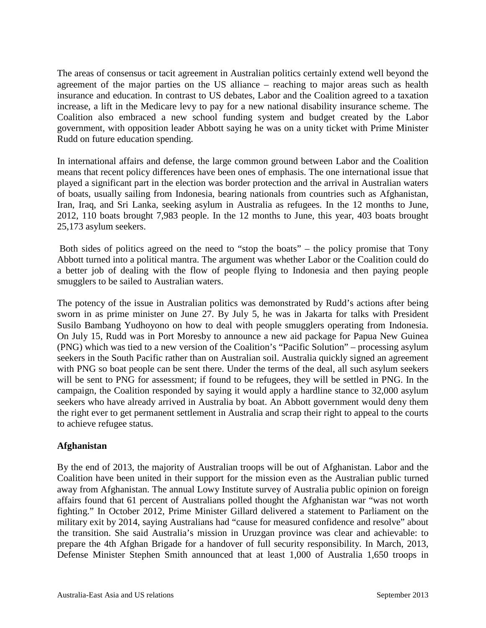The areas of consensus or tacit agreement in Australian politics certainly extend well beyond the agreement of the major parties on the US alliance – reaching to major areas such as health insurance and education. In contrast to US debates, Labor and the Coalition agreed to a taxation increase, a lift in the Medicare levy to pay for a new national disability insurance scheme. The Coalition also embraced a new school funding system and budget created by the Labor government, with opposition leader Abbott saying he was on a unity ticket with Prime Minister Rudd on future education spending.

In international affairs and defense, the large common ground between Labor and the Coalition means that recent policy differences have been ones of emphasis. The one international issue that played a significant part in the election was border protection and the arrival in Australian waters of boats, usually sailing from Indonesia, bearing nationals from countries such as Afghanistan, Iran, Iraq, and Sri Lanka, seeking asylum in Australia as refugees. In the 12 months to June, 2012, 110 boats brought 7,983 people. In the 12 months to June, this year, 403 boats brought 25,173 asylum seekers.

Both sides of politics agreed on the need to "stop the boats" – the policy promise that Tony Abbott turned into a political mantra. The argument was whether Labor or the Coalition could do a better job of dealing with the flow of people flying to Indonesia and then paying people smugglers to be sailed to Australian waters.

The potency of the issue in Australian politics was demonstrated by Rudd's actions after being sworn in as prime minister on June 27. By July 5, he was in Jakarta for talks with President Susilo Bambang Yudhoyono on how to deal with people smugglers operating from Indonesia. On July 15, Rudd was in Port Moresby to announce a new aid package for Papua New Guinea (PNG) which was tied to a new version of the Coalition's "Pacific Solution" – processing asylum seekers in the South Pacific rather than on Australian soil. Australia quickly signed an agreement with PNG so boat people can be sent there. Under the terms of the deal, all such asylum seekers will be sent to PNG for assessment; if found to be refugees, they will be settled in PNG. In the campaign, the Coalition responded by saying it would apply a hardline stance to 32,000 asylum seekers who have already arrived in Australia by boat. An Abbott government would deny them the right ever to get permanent settlement in Australia and scrap their right to appeal to the courts to achieve refugee status.

## **Afghanistan**

By the end of 2013, the majority of Australian troops will be out of Afghanistan. Labor and the Coalition have been united in their support for the mission even as the Australian public turned away from Afghanistan. The annual Lowy Institute survey of Australia public opinion on foreign affairs found that 61 percent of Australians polled thought the Afghanistan war "was not worth fighting." In October 2012, Prime Minister Gillard delivered a statement to Parliament on the military exit by 2014, saying Australians had "cause for measured confidence and resolve" about the transition. She said Australia's mission in Uruzgan province was clear and achievable: to prepare the 4th Afghan Brigade for a handover of full security responsibility. In March, 2013, Defense Minister Stephen Smith announced that at least 1,000 of Australia 1,650 troops in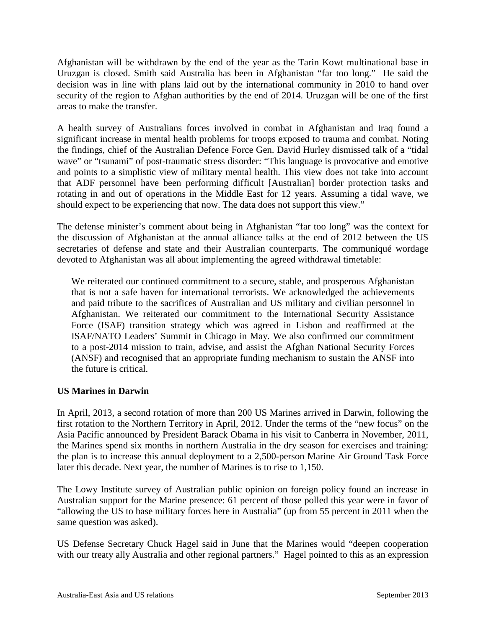Afghanistan will be withdrawn by the end of the year as the Tarin Kowt multinational base in Uruzgan is closed. Smith said Australia has been in Afghanistan "far too long." He said the decision was in line with plans laid out by the international community in 2010 to hand over security of the region to Afghan authorities by the end of 2014. Uruzgan will be one of the first areas to make the transfer.

A health survey of Australians forces involved in combat in Afghanistan and Iraq found a significant increase in mental health problems for troops exposed to trauma and combat. Noting the findings, chief of the Australian Defence Force Gen. David Hurley dismissed talk of a "tidal wave" or "tsunami" of post-traumatic stress disorder: "This language is provocative and emotive and points to a simplistic view of military mental health. This view does not take into account that ADF personnel have been performing difficult [Australian] border protection tasks and rotating in and out of operations in the Middle East for 12 years. Assuming a tidal wave, we should expect to be experiencing that now. The data does not support this view."

The defense minister's comment about being in Afghanistan "far too long" was the context for the discussion of Afghanistan at the annual alliance talks at the end of 2012 between the US secretaries of defense and state and their Australian counterparts. The communiqué wordage devoted to Afghanistan was all about implementing the agreed withdrawal timetable:

We reiterated our continued commitment to a secure, stable, and prosperous Afghanistan that is not a safe haven for international terrorists. We acknowledged the achievements and paid tribute to the sacrifices of Australian and US military and civilian personnel in Afghanistan. We reiterated our commitment to the International Security Assistance Force (ISAF) transition strategy which was agreed in Lisbon and reaffirmed at the ISAF/NATO Leaders' Summit in Chicago in May. We also confirmed our commitment to a post-2014 mission to train, advise, and assist the Afghan National Security Forces (ANSF) and recognised that an appropriate funding mechanism to sustain the ANSF into the future is critical.

## **US Marines in Darwin**

In April, 2013, a second rotation of more than 200 US Marines arrived in Darwin, following the first rotation to the Northern Territory in April, 2012. Under the terms of the "new focus" on the Asia Pacific announced by President Barack Obama in his visit to Canberra in November, 2011, the Marines spend six months in northern Australia in the dry season for exercises and training: the plan is to increase this annual deployment to a 2,500-person Marine Air Ground Task Force later this decade. Next year, the number of Marines is to rise to 1,150.

The Lowy Institute survey of Australian public opinion on foreign policy found an increase in Australian support for the Marine presence: 61 percent of those polled this year were in favor of "allowing the US to base military forces here in Australia" (up from 55 percent in 2011 when the same question was asked).

US Defense Secretary Chuck Hagel said in June that the Marines would "deepen cooperation with our treaty ally Australia and other regional partners." Hagel pointed to this as an expression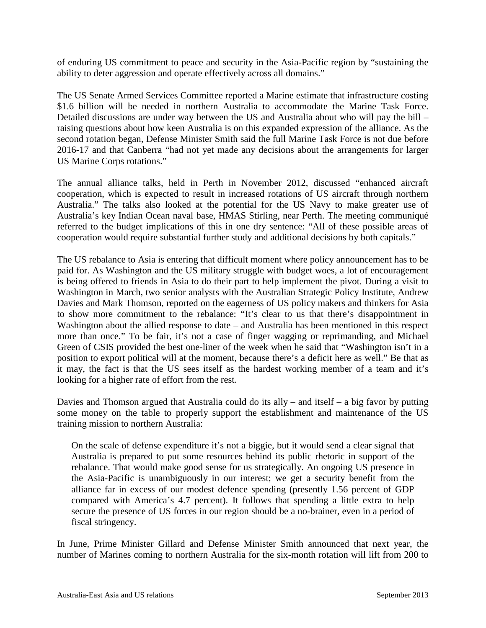of enduring US commitment to peace and security in the Asia-Pacific region by "sustaining the ability to deter aggression and operate effectively across all domains."

The US Senate Armed Services Committee reported a Marine estimate that infrastructure costing \$1.6 billion will be needed in northern Australia to accommodate the Marine Task Force. Detailed discussions are under way between the US and Australia about who will pay the bill – raising questions about how keen Australia is on this expanded expression of the alliance. As the second rotation began, Defense Minister Smith said the full Marine Task Force is not due before 2016-17 and that Canberra "had not yet made any decisions about the arrangements for larger US Marine Corps rotations."

The annual alliance talks, held in Perth in November 2012, discussed "enhanced aircraft cooperation, which is expected to result in increased rotations of US aircraft through northern Australia." The talks also looked at the potential for the US Navy to make greater use of Australia's key Indian Ocean naval base, HMAS Stirling, near Perth. The meeting communiqué referred to the budget implications of this in one dry sentence: "All of these possible areas of cooperation would require substantial further study and additional decisions by both capitals."

The US rebalance to Asia is entering that difficult moment where policy announcement has to be paid for. As Washington and the US military struggle with budget woes, a lot of encouragement is being offered to friends in Asia to do their part to help implement the pivot. During a visit to Washington in March, two senior analysts with the Australian Strategic Policy Institute, Andrew Davies and Mark Thomson, reported on the eagerness of US policy makers and thinkers for Asia to show more commitment to the rebalance: "It's clear to us that there's disappointment in Washington about the allied response to date – and Australia has been mentioned in this respect more than once." To be fair, it's not a case of finger wagging or reprimanding, and Michael Green of CSIS provided the best one-liner of the week when he said that "Washington isn't in a position to export political will at the moment, because there's a deficit here as well." Be that as it may, the fact is that the US sees itself as the hardest working member of a team and it's looking for a higher rate of effort from the rest.

Davies and Thomson argued that Australia could do its ally – and itself – a big favor by putting some money on the table to properly support the establishment and maintenance of the US training mission to northern Australia:

On the scale of defense expenditure it's not a biggie, but it would send a clear signal that Australia is prepared to put some resources behind its public rhetoric in support of the rebalance. That would make good sense for us strategically. An ongoing US presence in the Asia-Pacific is unambiguously in our interest; we get a security benefit from the alliance far in excess of our modest defence spending (presently 1.56 percent of GDP compared with America's 4.7 percent). It follows that spending a little extra to help secure the presence of US forces in our region should be a no-brainer, even in a period of fiscal stringency.

In June, Prime Minister Gillard and Defense Minister Smith announced that next year, the number of Marines coming to northern Australia for the six-month rotation will lift from 200 to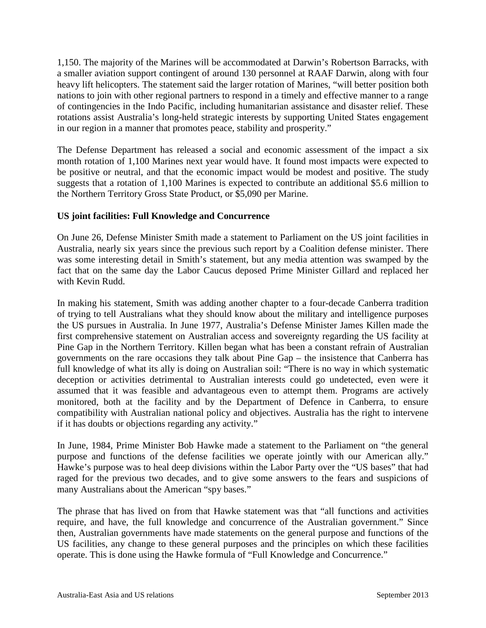1,150. The majority of the Marines will be accommodated at Darwin's Robertson Barracks, with a smaller aviation support contingent of around 130 personnel at RAAF Darwin, along with four heavy lift helicopters. The statement said the larger rotation of Marines, "will better position both nations to join with other regional partners to respond in a timely and effective manner to a range of contingencies in the Indo Pacific, including humanitarian assistance and disaster relief. These rotations assist Australia's long-held strategic interests by supporting United States engagement in our region in a manner that promotes peace, stability and prosperity."

The Defense Department has released a social and economic assessment of the impact a six month rotation of 1,100 Marines next year would have. It found most impacts were expected to be positive or neutral, and that the economic impact would be modest and positive. The study suggests that a rotation of 1,100 Marines is expected to contribute an additional \$5.6 million to the Northern Territory Gross State Product, or \$5,090 per Marine.

## **US joint facilities: Full Knowledge and Concurrence**

On June 26, Defense Minister Smith made a statement to Parliament on the US joint facilities in Australia, nearly six years since the previous such report by a Coalition defense minister. There was some interesting detail in Smith's statement, but any media attention was swamped by the fact that on the same day the Labor Caucus deposed Prime Minister Gillard and replaced her with Kevin Rudd.

In making his statement, Smith was adding another chapter to a four-decade Canberra tradition of trying to tell Australians what they should know about the military and intelligence purposes the US pursues in Australia. In June 1977, Australia's Defense Minister James Killen made the first comprehensive statement on Australian access and sovereignty regarding the US facility at Pine Gap in the Northern Territory. Killen began what has been a constant refrain of Australian governments on the rare occasions they talk about Pine Gap – the insistence that Canberra has full knowledge of what its ally is doing on Australian soil: "There is no way in which systematic deception or activities detrimental to Australian interests could go undetected, even were it assumed that it was feasible and advantageous even to attempt them. Programs are actively monitored, both at the facility and by the Department of Defence in Canberra, to ensure compatibility with Australian national policy and objectives. Australia has the right to intervene if it has doubts or objections regarding any activity."

In June, 1984, Prime Minister Bob Hawke made a statement to the Parliament on "the general purpose and functions of the defense facilities we operate jointly with our American ally." Hawke's purpose was to heal deep divisions within the Labor Party over the "US bases" that had raged for the previous two decades, and to give some answers to the fears and suspicions of many Australians about the American "spy bases."

The phrase that has lived on from that Hawke statement was that "all functions and activities require, and have, the full knowledge and concurrence of the Australian government." Since then, Australian governments have made statements on the general purpose and functions of the US facilities, any change to these general purposes and the principles on which these facilities operate. This is done using the Hawke formula of "Full Knowledge and Concurrence."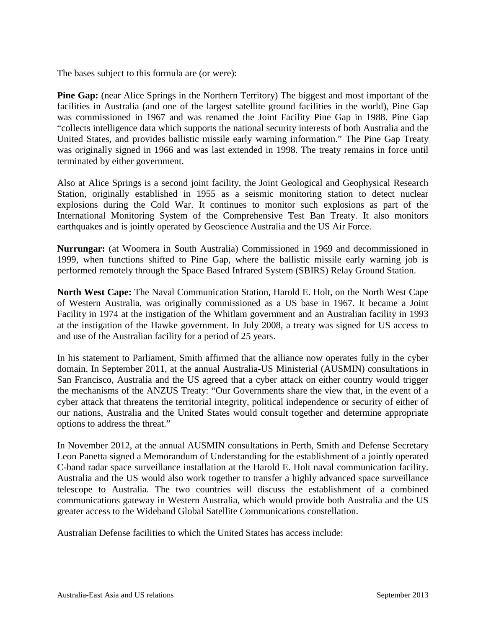The bases subject to this formula are (or were):

**Pine Gap:** (near Alice Springs in the Northern Territory) The biggest and most important of the facilities in Australia (and one of the largest satellite ground facilities in the world), Pine Gap was commissioned in 1967 and was renamed the Joint Facility Pine Gap in 1988. Pine Gap "collects intelligence data which supports the national security interests of both Australia and the United States, and provides ballistic missile early warning information." The Pine Gap Treaty was originally signed in 1966 and was last extended in 1998. The treaty remains in force until terminated by either government.

Also at Alice Springs is a second joint facility, the Joint Geological and Geophysical Research Station, originally established in 1955 as a seismic monitoring station to detect nuclear explosions during the Cold War. It continues to monitor such explosions as part of the International Monitoring System of the Comprehensive Test Ban Treaty. It also monitors earthquakes and is jointly operated by Geoscience Australia and the US Air Force.

**Nurrungar:** (at Woomera in South Australia) Commissioned in 1969 and decommissioned in 1999, when functions shifted to Pine Gap, where the ballistic missile early warning job is performed remotely through the Space Based Infrared System (SBIRS) Relay Ground Station.

**North West Cape:** The Naval Communication Station, Harold E. Holt, on the North West Cape of Western Australia, was originally commissioned as a US base in 1967. It became a Joint Facility in 1974 at the instigation of the Whitlam government and an Australian facility in 1993 at the instigation of the Hawke government. In July 2008, a treaty was signed for US access to and use of the Australian facility for a period of 25 years.

In his statement to Parliament, Smith affirmed that the alliance now operates fully in the cyber domain. In September 2011, at the annual Australia-US Ministerial (AUSMIN) consultations in San Francisco, Australia and the US agreed that a cyber attack on either country would trigger the mechanisms of the ANZUS Treaty: "Our Governments share the view that, in the event of a cyber attack that threatens the territorial integrity, political independence or security of either of our nations, Australia and the United States would consult together and determine appropriate options to address the threat."

In November 2012, at the annual AUSMIN consultations in Perth, Smith and Defense Secretary Leon Panetta signed a Memorandum of Understanding for the establishment of a jointly operated C-band radar space surveillance installation at the Harold E. Holt naval communication facility. Australia and the US would also work together to transfer a highly advanced space surveillance telescope to Australia. The two countries will discuss the establishment of a combined communications gateway in Western Australia, which would provide both Australia and the US greater access to the Wideband Global Satellite Communications constellation.

Australian Defense facilities to which the United States has access include: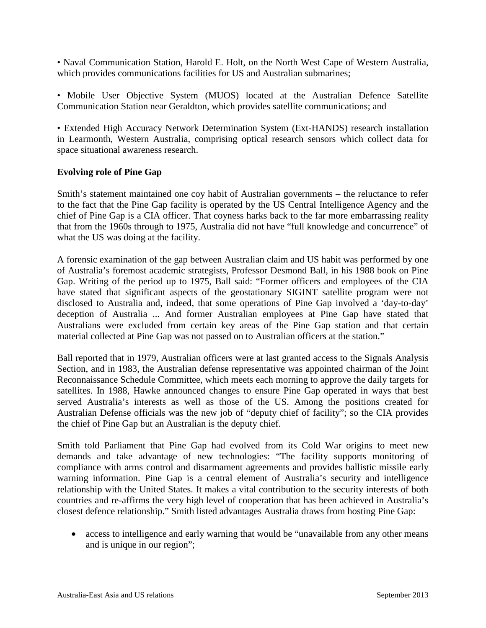• Naval Communication Station, Harold E. Holt, on the North West Cape of Western Australia, which provides communications facilities for US and Australian submarines;

• Mobile User Objective System (MUOS) located at the Australian Defence Satellite Communication Station near Geraldton, which provides satellite communications; and

• Extended High Accuracy Network Determination System (Ext-HANDS) research installation in Learmonth, Western Australia, comprising optical research sensors which collect data for space situational awareness research.

#### **Evolving role of Pine Gap**

Smith's statement maintained one coy habit of Australian governments – the reluctance to refer to the fact that the Pine Gap facility is operated by the US Central Intelligence Agency and the chief of Pine Gap is a CIA officer. That coyness harks back to the far more embarrassing reality that from the 1960s through to 1975, Australia did not have "full knowledge and concurrence" of what the US was doing at the facility.

A forensic examination of the gap between Australian claim and US habit was performed by one of Australia's foremost academic strategists, Professor Desmond Ball, in his 1988 book on Pine Gap. Writing of the period up to 1975, Ball said: "Former officers and employees of the CIA have stated that significant aspects of the geostationary SIGINT satellite program were not disclosed to Australia and, indeed, that some operations of Pine Gap involved a 'day-to-day' deception of Australia ... And former Australian employees at Pine Gap have stated that Australians were excluded from certain key areas of the Pine Gap station and that certain material collected at Pine Gap was not passed on to Australian officers at the station."

Ball reported that in 1979, Australian officers were at last granted access to the Signals Analysis Section, and in 1983, the Australian defense representative was appointed chairman of the Joint Reconnaissance Schedule Committee, which meets each morning to approve the daily targets for satellites. In 1988, Hawke announced changes to ensure Pine Gap operated in ways that best served Australia's interests as well as those of the US. Among the positions created for Australian Defense officials was the new job of "deputy chief of facility"; so the CIA provides the chief of Pine Gap but an Australian is the deputy chief.

Smith told Parliament that Pine Gap had evolved from its Cold War origins to meet new demands and take advantage of new technologies: "The facility supports monitoring of compliance with arms control and disarmament agreements and provides ballistic missile early warning information. Pine Gap is a central element of Australia's security and intelligence relationship with the United States. It makes a vital contribution to the security interests of both countries and re-affirms the very high level of cooperation that has been achieved in Australia's closest defence relationship." Smith listed advantages Australia draws from hosting Pine Gap:

• access to intelligence and early warning that would be "unavailable from any other means" and is unique in our region";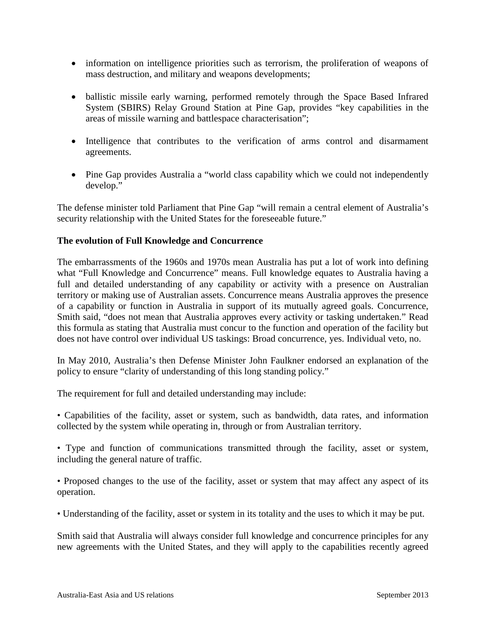- information on intelligence priorities such as terrorism, the proliferation of weapons of mass destruction, and military and weapons developments;
- ballistic missile early warning, performed remotely through the Space Based Infrared System (SBIRS) Relay Ground Station at Pine Gap, provides "key capabilities in the areas of missile warning and battlespace characterisation";
- Intelligence that contributes to the verification of arms control and disarmament agreements.
- Pine Gap provides Australia a "world class capability which we could not independently develop."

The defense minister told Parliament that Pine Gap "will remain a central element of Australia's security relationship with the United States for the foreseeable future."

#### **The evolution of Full Knowledge and Concurrence**

The embarrassments of the 1960s and 1970s mean Australia has put a lot of work into defining what "Full Knowledge and Concurrence" means. Full knowledge equates to Australia having a full and detailed understanding of any capability or activity with a presence on Australian territory or making use of Australian assets. Concurrence means Australia approves the presence of a capability or function in Australia in support of its mutually agreed goals. Concurrence, Smith said, "does not mean that Australia approves every activity or tasking undertaken." Read this formula as stating that Australia must concur to the function and operation of the facility but does not have control over individual US taskings: Broad concurrence, yes. Individual veto, no.

In May 2010, Australia's then Defense Minister John Faulkner endorsed an explanation of the policy to ensure "clarity of understanding of this long standing policy."

The requirement for full and detailed understanding may include:

• Capabilities of the facility, asset or system, such as bandwidth, data rates, and information collected by the system while operating in, through or from Australian territory.

• Type and function of communications transmitted through the facility, asset or system, including the general nature of traffic.

• Proposed changes to the use of the facility, asset or system that may affect any aspect of its operation.

• Understanding of the facility, asset or system in its totality and the uses to which it may be put.

Smith said that Australia will always consider full knowledge and concurrence principles for any new agreements with the United States, and they will apply to the capabilities recently agreed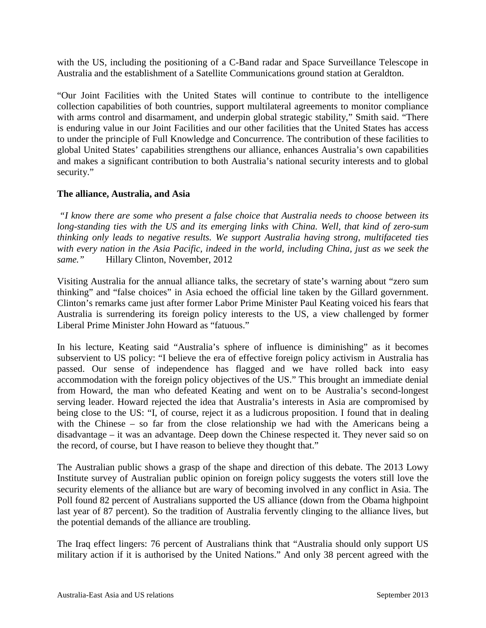with the US, including the positioning of a C-Band radar and Space Surveillance Telescope in Australia and the establishment of a Satellite Communications ground station at Geraldton.

"Our Joint Facilities with the United States will continue to contribute to the intelligence collection capabilities of both countries, support multilateral agreements to monitor compliance with arms control and disarmament, and underpin global strategic stability," Smith said. "There is enduring value in our Joint Facilities and our other facilities that the United States has access to under the principle of Full Knowledge and Concurrence. The contribution of these facilities to global United States' capabilities strengthens our alliance, enhances Australia's own capabilities and makes a significant contribution to both Australia's national security interests and to global security."

#### **The alliance, Australia, and Asia**

*"I know there are some who present a false choice that Australia needs to choose between its long-standing ties with the US and its emerging links with China. Well, that kind of zero-sum thinking only leads to negative results. We support Australia having strong, multifaceted ties with every nation in the Asia Pacific, indeed in the world, including China, just as we seek the same."* Hillary Clinton, November, 2012

Visiting Australia for the annual alliance talks, the secretary of state's warning about "zero sum thinking" and "false choices" in Asia echoed the official line taken by the Gillard government. Clinton's remarks came just after former Labor Prime Minister Paul Keating voiced his fears that Australia is surrendering its foreign policy interests to the US, a view challenged by former Liberal Prime Minister John Howard as "fatuous."

In his lecture, Keating said "Australia's sphere of influence is diminishing" as it becomes subservient to US policy: "I believe the era of effective foreign policy activism in Australia has passed. Our sense of independence has flagged and we have rolled back into easy accommodation with the foreign policy objectives of the US." This brought an immediate denial from Howard, the man who defeated Keating and went on to be Australia's second-longest serving leader. Howard rejected the idea that Australia's interests in Asia are compromised by being close to the US: "I, of course, reject it as a ludicrous proposition. I found that in dealing with the Chinese – so far from the close relationship we had with the Americans being a disadvantage – it was an advantage. Deep down the Chinese respected it. They never said so on the record, of course, but I have reason to believe they thought that."

The Australian public shows a grasp of the shape and direction of this debate. The 2013 Lowy Institute survey of Australian public opinion on foreign policy suggests the voters still love the security elements of the alliance but are wary of becoming involved in any conflict in Asia. The Poll found 82 percent of Australians supported the US alliance (down from the Obama highpoint last year of 87 percent). So the tradition of Australia fervently clinging to the alliance lives, but the potential demands of the alliance are troubling.

The Iraq effect lingers: 76 percent of Australians think that "Australia should only support US military action if it is authorised by the United Nations." And only 38 percent agreed with the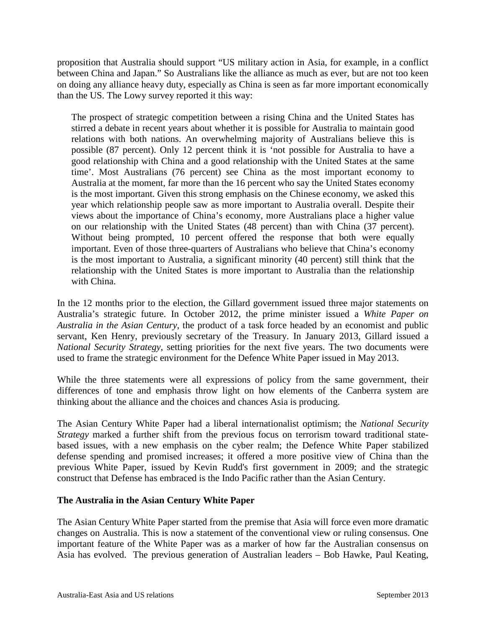proposition that Australia should support "US military action in Asia, for example, in a conflict between China and Japan." So Australians like the alliance as much as ever, but are not too keen on doing any alliance heavy duty, especially as China is seen as far more important economically than the US. The Lowy survey reported it this way:

The prospect of strategic competition between a rising China and the United States has stirred a debate in recent years about whether it is possible for Australia to maintain good relations with both nations. An overwhelming majority of Australians believe this is possible (87 percent). Only 12 percent think it is 'not possible for Australia to have a good relationship with China and a good relationship with the United States at the same time'. Most Australians (76 percent) see China as the most important economy to Australia at the moment, far more than the 16 percent who say the United States economy is the most important. Given this strong emphasis on the Chinese economy, we asked this year which relationship people saw as more important to Australia overall. Despite their views about the importance of China's economy, more Australians place a higher value on our relationship with the United States (48 percent) than with China (37 percent). Without being prompted, 10 percent offered the response that both were equally important. Even of those three-quarters of Australians who believe that China's economy is the most important to Australia, a significant minority (40 percent) still think that the relationship with the United States is more important to Australia than the relationship with China.

In the 12 months prior to the election, the Gillard government issued three major statements on Australia's strategic future. In October 2012, the prime minister issued a *White Paper on Australia in the Asian Century*, the product of a task force headed by an economist and public servant, Ken Henry, previously secretary of the Treasury. In January 2013, Gillard issued a *National Security Strategy*, setting priorities for the next five years. The two documents were used to frame the strategic environment for the Defence White Paper issued in May 2013.

While the three statements were all expressions of policy from the same government, their differences of tone and emphasis throw light on how elements of the Canberra system are thinking about the alliance and the choices and chances Asia is producing.

The Asian Century White Paper had a liberal internationalist optimism; the *National Security Strategy* marked a further shift from the previous focus on terrorism toward traditional statebased issues, with a new emphasis on the cyber realm; the Defence White Paper stabilized defense spending and promised increases; it offered a more positive view of China than the previous White Paper, issued by Kevin Rudd's first government in 2009; and the strategic construct that Defense has embraced is the Indo Pacific rather than the Asian Century.

## **The Australia in the Asian Century White Paper**

The Asian Century White Paper started from the premise that Asia will force even more dramatic changes on Australia. This is now a statement of the conventional view or ruling consensus. One important feature of the White Paper was as a marker of how far the Australian consensus on Asia has evolved. The previous generation of Australian leaders – Bob Hawke, Paul Keating,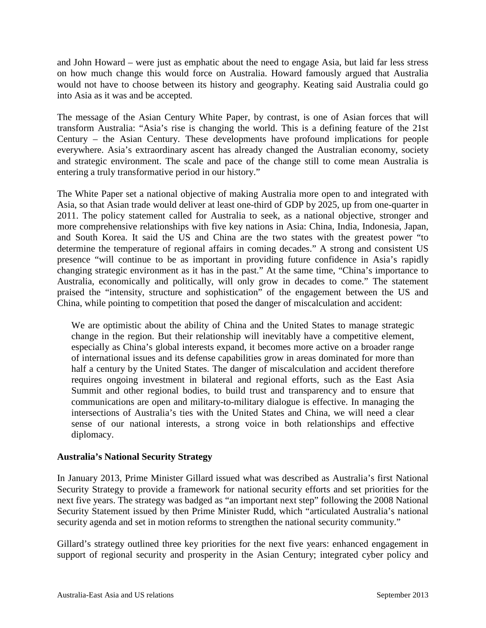and John Howard – were just as emphatic about the need to engage Asia, but laid far less stress on how much change this would force on Australia. Howard famously argued that Australia would not have to choose between its history and geography. Keating said Australia could go into Asia as it was and be accepted.

The message of the Asian Century White Paper, by contrast, is one of Asian forces that will transform Australia: "Asia's rise is changing the world. This is a defining feature of the 21st Century – the Asian Century. These developments have profound implications for people everywhere. Asia's extraordinary ascent has already changed the Australian economy, society and strategic environment. The scale and pace of the change still to come mean Australia is entering a truly transformative period in our history."

The White Paper set a national objective of making Australia more open to and integrated with Asia, so that Asian trade would deliver at least one-third of GDP by 2025, up from one-quarter in 2011. The policy statement called for Australia to seek, as a national objective, stronger and more comprehensive relationships with five key nations in Asia: China, India, Indonesia, Japan, and South Korea. It said the US and China are the two states with the greatest power "to determine the temperature of regional affairs in coming decades." A strong and consistent US presence "will continue to be as important in providing future confidence in Asia's rapidly changing strategic environment as it has in the past." At the same time, "China's importance to Australia, economically and politically, will only grow in decades to come." The statement praised the "intensity, structure and sophistication" of the engagement between the US and China, while pointing to competition that posed the danger of miscalculation and accident:

We are optimistic about the ability of China and the United States to manage strategic change in the region. But their relationship will inevitably have a competitive element, especially as China's global interests expand, it becomes more active on a broader range of international issues and its defense capabilities grow in areas dominated for more than half a century by the United States. The danger of miscalculation and accident therefore requires ongoing investment in bilateral and regional efforts, such as the East Asia Summit and other regional bodies, to build trust and transparency and to ensure that communications are open and military-to-military dialogue is effective. In managing the intersections of Australia's ties with the United States and China, we will need a clear sense of our national interests, a strong voice in both relationships and effective diplomacy.

## **Australia's National Security Strategy**

In January 2013, Prime Minister Gillard issued what was described as Australia's first National Security Strategy to provide a framework for national security efforts and set priorities for the next five years. The strategy was badged as "an important next step" following the 2008 National Security Statement issued by then Prime Minister Rudd, which "articulated Australia's national security agenda and set in motion reforms to strengthen the national security community."

Gillard's strategy outlined three key priorities for the next five years: enhanced engagement in support of regional security and prosperity in the Asian Century; integrated cyber policy and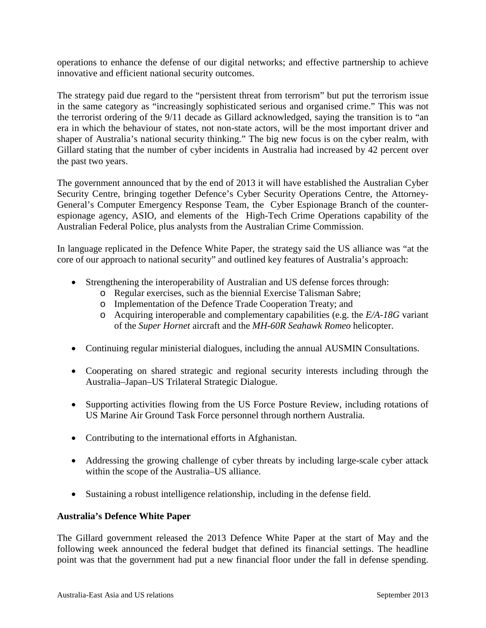operations to enhance the defense of our digital networks; and effective partnership to achieve innovative and efficient national security outcomes.

The strategy paid due regard to the "persistent threat from terrorism" but put the terrorism issue in the same category as "increasingly sophisticated serious and organised crime." This was not the terrorist ordering of the 9/11 decade as Gillard acknowledged, saying the transition is to "an era in which the behaviour of states, not non-state actors, will be the most important driver and shaper of Australia's national security thinking." The big new focus is on the cyber realm, with Gillard stating that the number of cyber incidents in Australia had increased by 42 percent over the past two years.

The government announced that by the end of 2013 it will have established the Australian Cyber Security Centre, bringing together Defence's Cyber Security Operations Centre, the Attorney-General's Computer Emergency Response Team, the Cyber Espionage Branch of the counterespionage agency, ASIO, and elements of the High-Tech Crime Operations capability of the Australian Federal Police, plus analysts from the Australian Crime Commission.

In language replicated in the Defence White Paper, the strategy said the US alliance was "at the core of our approach to national security" and outlined key features of Australia's approach:

- Strengthening the interoperability of Australian and US defense forces through:
	- o Regular exercises, such as the biennial Exercise Talisman Sabre;
	- o Implementation of the Defence Trade Cooperation Treaty; and
	- o Acquiring interoperable and complementary capabilities (e.g. the *E/A-18G* variant of the *Super Hornet* aircraft and the *MH-60R Seahawk Romeo* helicopter.
- Continuing regular ministerial dialogues, including the annual AUSMIN Consultations.
- Cooperating on shared strategic and regional security interests including through the Australia–Japan–US Trilateral Strategic Dialogue.
- Supporting activities flowing from the US Force Posture Review, including rotations of US Marine Air Ground Task Force personnel through northern Australia.
- Contributing to the international efforts in Afghanistan.
- Addressing the growing challenge of cyber threats by including large-scale cyber attack within the scope of the Australia–US alliance.
- Sustaining a robust intelligence relationship, including in the defense field.

## **Australia's Defence White Paper**

The Gillard government released the 2013 Defence White Paper at the start of May and the following week announced the federal budget that defined its financial settings. The headline point was that the government had put a new financial floor under the fall in defense spending.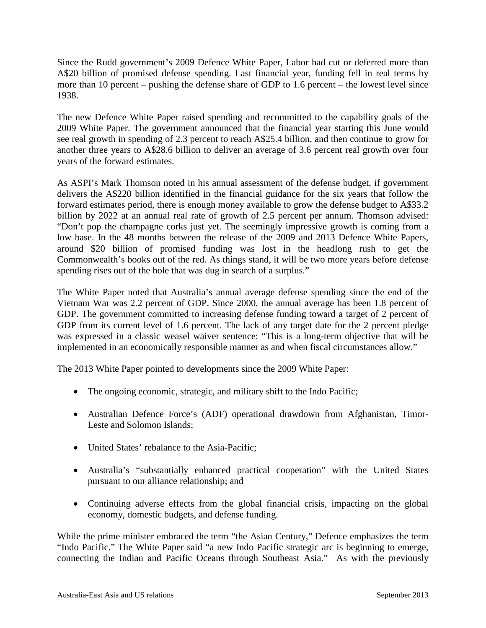Since the Rudd government's 2009 Defence White Paper, Labor had cut or deferred more than A\$20 billion of promised defense spending. Last financial year, funding fell in real terms by more than 10 percent – pushing the defense share of GDP to 1.6 percent – the lowest level since 1938.

The new Defence White Paper raised spending and recommitted to the capability goals of the 2009 White Paper. The government announced that the financial year starting this June would see real growth in spending of 2.3 percent to reach A\$25.4 billion, and then continue to grow for another three years to A\$28.6 billion to deliver an average of 3.6 percent real growth over four years of the forward estimates.

As ASPI's Mark Thomson noted in his annual assessment of the defense budget, if government delivers the A\$220 billion identified in the financial guidance for the six years that follow the forward estimates period, there is enough money available to grow the defense budget to A\$33.2 billion by 2022 at an annual real rate of growth of 2.5 percent per annum. Thomson advised: "Don't pop the champagne corks just yet. The seemingly impressive growth is coming from a low base. In the 48 months between the release of the 2009 and 2013 Defence White Papers, around \$20 billion of promised funding was lost in the headlong rush to get the Commonwealth's books out of the red. As things stand, it will be two more years before defense spending rises out of the hole that was dug in search of a surplus."

The White Paper noted that Australia's annual average defense spending since the end of the Vietnam War was 2.2 percent of GDP. Since 2000, the annual average has been 1.8 percent of GDP. The government committed to increasing defense funding toward a target of 2 percent of GDP from its current level of 1.6 percent. The lack of any target date for the 2 percent pledge was expressed in a classic weasel waiver sentence: "This is a long-term objective that will be implemented in an economically responsible manner as and when fiscal circumstances allow."

The 2013 White Paper pointed to developments since the 2009 White Paper:

- The ongoing economic, strategic, and military shift to the Indo Pacific;
- Australian Defence Force's (ADF) operational drawdown from Afghanistan, Timor-Leste and Solomon Islands;
- United States' rebalance to the Asia-Pacific;
- Australia's "substantially enhanced practical cooperation" with the United States pursuant to our alliance relationship; and
- Continuing adverse effects from the global financial crisis, impacting on the global economy, domestic budgets, and defense funding.

While the prime minister embraced the term "the Asian Century," Defence emphasizes the term "Indo Pacific." The White Paper said "a new Indo Pacific strategic arc is beginning to emerge, connecting the Indian and Pacific Oceans through Southeast Asia." As with the previously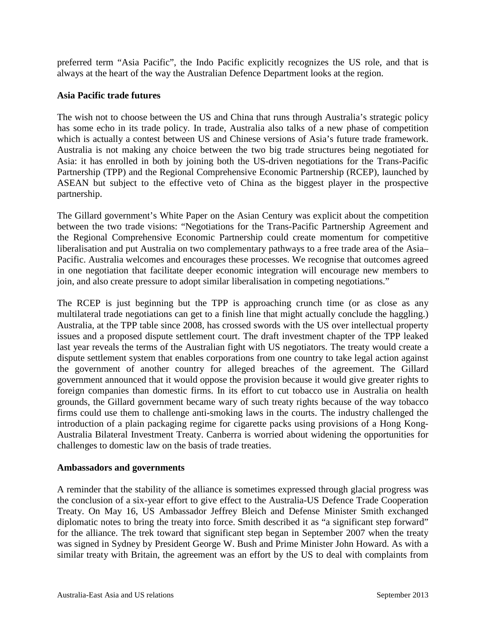preferred term "Asia Pacific", the Indo Pacific explicitly recognizes the US role, and that is always at the heart of the way the Australian Defence Department looks at the region.

#### **Asia Pacific trade futures**

The wish not to choose between the US and China that runs through Australia's strategic policy has some echo in its trade policy. In trade, Australia also talks of a new phase of competition which is actually a contest between US and Chinese versions of Asia's future trade framework. Australia is not making any choice between the two big trade structures being negotiated for Asia: it has enrolled in both by joining both the US-driven negotiations for the Trans-Pacific Partnership (TPP) and the Regional Comprehensive Economic Partnership (RCEP), launched by ASEAN but subject to the effective veto of China as the biggest player in the prospective partnership.

The Gillard government's White Paper on the Asian Century was explicit about the competition between the two trade visions: "Negotiations for the Trans-Pacific Partnership Agreement and the Regional Comprehensive Economic Partnership could create momentum for competitive liberalisation and put Australia on two complementary pathways to a free trade area of the Asia– Pacific. Australia welcomes and encourages these processes. We recognise that outcomes agreed in one negotiation that facilitate deeper economic integration will encourage new members to join, and also create pressure to adopt similar liberalisation in competing negotiations."

The RCEP is just beginning but the TPP is approaching crunch time (or as close as any multilateral trade negotiations can get to a finish line that might actually conclude the haggling.) Australia, at the TPP table since 2008, has crossed swords with the US over intellectual property issues and a proposed dispute settlement court. The draft investment chapter of the TPP leaked last year reveals the terms of the Australian fight with US negotiators. The treaty would create a dispute settlement system that enables corporations from one country to take legal action against the government of another country for alleged breaches of the agreement. The Gillard government announced that it would oppose the provision because it would give greater rights to foreign companies than domestic firms. In its effort to cut tobacco use in Australia on health grounds, the Gillard government became wary of such treaty rights because of the way tobacco firms could use them to challenge anti-smoking laws in the courts. The industry challenged the introduction of a plain packaging regime for cigarette packs using provisions of a Hong Kong-Australia Bilateral Investment Treaty. Canberra is worried about widening the opportunities for challenges to domestic law on the basis of trade treaties.

#### **Ambassadors and governments**

A reminder that the stability of the alliance is sometimes expressed through glacial progress was the conclusion of a six-year effort to give effect to the Australia-US Defence Trade Cooperation Treaty. On May 16, US Ambassador Jeffrey Bleich and Defense Minister Smith exchanged diplomatic notes to bring the treaty into force. Smith described it as "a significant step forward" for the alliance. The trek toward that significant step began in September 2007 when the treaty was signed in Sydney by President George W. Bush and Prime Minister John Howard. As with a similar treaty with Britain, the agreement was an effort by the US to deal with complaints from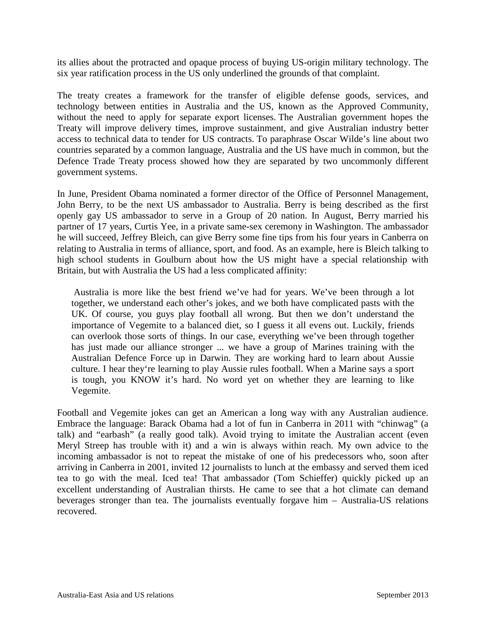its allies about the protracted and opaque process of buying US-origin military technology. The six year ratification process in the US only underlined the grounds of that complaint.

The treaty creates a framework for the transfer of eligible defense goods, services, and technology between entities in Australia and the US, known as the Approved Community, without the need to apply for separate export licenses. The Australian government hopes the Treaty will improve delivery times, improve sustainment, and give Australian industry better access to technical data to tender for US contracts. To paraphrase Oscar Wilde's line about two countries separated by a common language, Australia and the US have much in common, but the Defence Trade Treaty process showed how they are separated by two uncommonly different government systems.

In June, President Obama nominated a former director of the Office of Personnel Management, John Berry, to be the next US ambassador to Australia. Berry is being described as the first openly gay US ambassador to serve in a Group of 20 nation. In August, Berry married his partner of 17 years, Curtis Yee, in a private same-sex ceremony in Washington. The ambassador he will succeed, Jeffrey Bleich, can give Berry some fine tips from his four years in Canberra on relating to Australia in terms of alliance, sport, and food. As an example, here is Bleich talking to high school students in Goulburn about how the US might have a special relationship with Britain, but with Australia the US had a less complicated affinity:

Australia is more like the best friend we've had for years. We've been through a lot together, we understand each other's jokes, and we both have complicated pasts with the UK. Of course, you guys play football all wrong. But then we don't understand the importance of Vegemite to a balanced diet, so I guess it all evens out. Luckily, friends can overlook those sorts of things. In our case, everything we've been through together has just made our alliance stronger ... we have a group of Marines training with the Australian Defence Force up in Darwin. They are working hard to learn about Aussie culture. I hear they're learning to play Aussie rules football. When a Marine says a sport is tough, you KNOW it's hard. No word yet on whether they are learning to like Vegemite.

Football and Vegemite jokes can get an American a long way with any Australian audience. Embrace the language: Barack Obama had a lot of fun in Canberra in 2011 with "chinwag" (a talk) and "earbash" (a really good talk). Avoid trying to imitate the Australian accent (even Meryl Streep has trouble with it) and a win is always within reach. My own advice to the incoming ambassador is not to repeat the mistake of one of his predecessors who, soon after arriving in Canberra in 2001, invited 12 journalists to lunch at the embassy and served them iced tea to go with the meal. Iced tea! That ambassador (Tom Schieffer) quickly picked up an excellent understanding of Australian thirsts. He came to see that a hot climate can demand beverages stronger than tea. The journalists eventually forgave him – Australia-US relations recovered.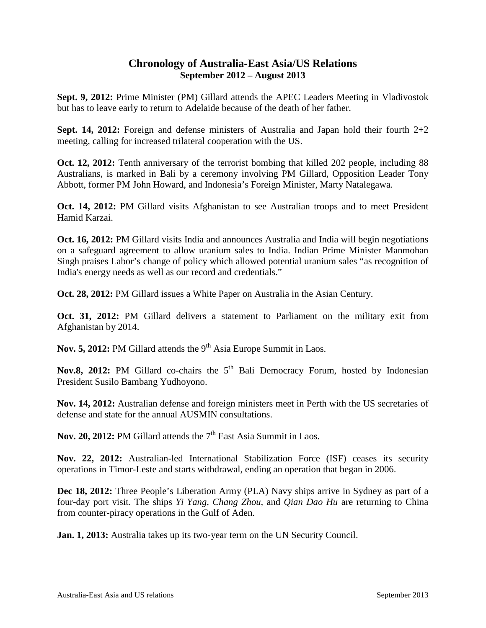# **Chronology of Australia-East Asia/US Relations September 2012 – August 2013**

**Sept. 9, 2012:** Prime Minister (PM) Gillard attends the APEC Leaders Meeting in Vladivostok but has to leave early to return to Adelaide because of the death of her father.

**Sept. 14, 2012:** Foreign and defense ministers of Australia and Japan hold their fourth 2+2 meeting, calling for increased trilateral cooperation with the US.

**Oct. 12, 2012:** Tenth anniversary of the terrorist bombing that killed 202 people, including 88 Australians, is marked in Bali by a ceremony involving PM Gillard, Opposition Leader Tony Abbott, former PM John Howard, and Indonesia's Foreign Minister, Marty Natalegawa.

**Oct. 14, 2012:** PM Gillard visits Afghanistan to see Australian troops and to meet President Hamid Karzai.

**Oct. 16, 2012:** PM Gillard visits India and announces Australia and India will begin negotiations on a safeguard agreement to allow uranium sales to India. Indian Prime Minister Manmohan Singh praises Labor's change of policy which allowed potential uranium sales "as recognition of India's energy needs as well as our record and credentials."

**Oct. 28, 2012:** PM Gillard issues a White Paper on Australia in the Asian Century.

**Oct. 31, 2012:** PM Gillard delivers a statement to Parliament on the military exit from Afghanistan by 2014.

**Nov. 5, 2012:** PM Gillard attends the 9<sup>th</sup> Asia Europe Summit in Laos.

Nov.8, 2012: PM Gillard co-chairs the 5<sup>th</sup> Bali Democracy Forum, hosted by Indonesian President Susilo Bambang Yudhoyono.

**Nov. 14, 2012:** Australian defense and foreign ministers meet in Perth with the US secretaries of defense and state for the annual AUSMIN consultations.

Nov. 20, 2012: PM Gillard attends the 7<sup>th</sup> East Asia Summit in Laos.

**Nov. 22, 2012:** Australian-led International Stabilization Force (ISF) ceases its security operations in Timor-Leste and starts withdrawal, ending an operation that began in 2006.

**Dec 18, 2012:** Three People's Liberation Army (PLA) Navy ships arrive in Sydney as part of a four-day port visit. The ships *Yi Yang*, *Chang Zhou,* and *Qian Dao Hu* are returning to China from counter-piracy operations in the Gulf of Aden.

**Jan. 1, 2013:** Australia takes up its two-year term on the UN Security Council.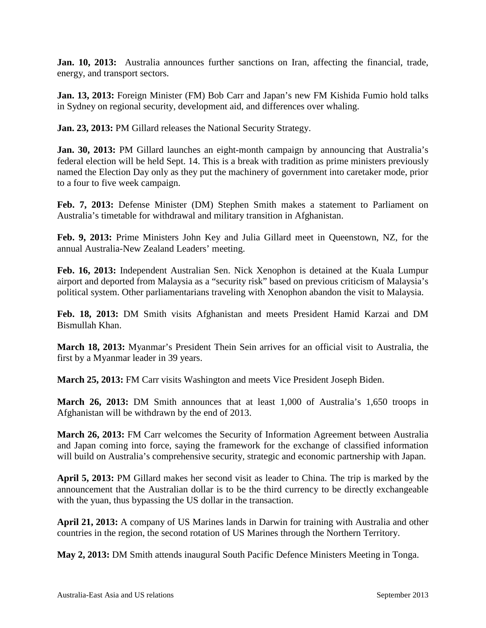**Jan. 10, 2013:** Australia announces further sanctions on Iran, affecting the financial, trade, energy, and transport sectors.

**Jan. 13, 2013:** Foreign Minister (FM) Bob Carr and Japan's new FM Kishida Fumio hold talks in Sydney on regional security, development aid, and differences over whaling.

**Jan. 23, 2013:** PM Gillard releases the National Security Strategy.

**Jan. 30, 2013:** PM Gillard launches an eight-month campaign by announcing that Australia's federal election will be held Sept. 14. This is a break with tradition as prime ministers previously named the Election Day only as they put the machinery of government into caretaker mode, prior to a four to five week campaign.

**Feb. 7, 2013:** Defense Minister (DM) Stephen Smith makes a statement to Parliament on Australia's timetable for withdrawal and military transition in Afghanistan.

**Feb. 9, 2013:** Prime Ministers John Key and Julia Gillard meet in Queenstown, NZ, for the annual Australia-New Zealand Leaders' meeting.

**Feb. 16, 2013:** Independent Australian Sen. Nick Xenophon is detained at the Kuala Lumpur airport and deported from Malaysia as a "security risk" based on previous criticism of Malaysia's political system. Other parliamentarians traveling with Xenophon abandon the visit to Malaysia.

**Feb. 18, 2013:** DM Smith visits Afghanistan and meets President Hamid Karzai and DM Bismullah Khan.

**March 18, 2013:** Myanmar's President Thein Sein arrives for an official visit to Australia, the first by a Myanmar leader in 39 years.

**March 25, 2013:** FM Carr visits Washington and meets Vice President Joseph Biden.

**March 26, 2013:** DM Smith announces that at least 1,000 of Australia's 1,650 troops in Afghanistan will be withdrawn by the end of 2013.

**March 26, 2013:** FM Carr welcomes the Security of Information Agreement between Australia and Japan coming into force, saying the framework for the exchange of classified information will build on Australia's comprehensive security, strategic and economic partnership with Japan.

**April 5, 2013:** PM Gillard makes her second visit as leader to China. The trip is marked by the announcement that the Australian dollar is to be the third currency to be directly exchangeable with the yuan, thus bypassing the US dollar in the transaction.

**April 21, 2013:** A company of US Marines lands in Darwin for training with Australia and other countries in the region, the second rotation of US Marines through the Northern Territory.

**May 2, 2013:** DM Smith attends inaugural South Pacific Defence Ministers Meeting in Tonga.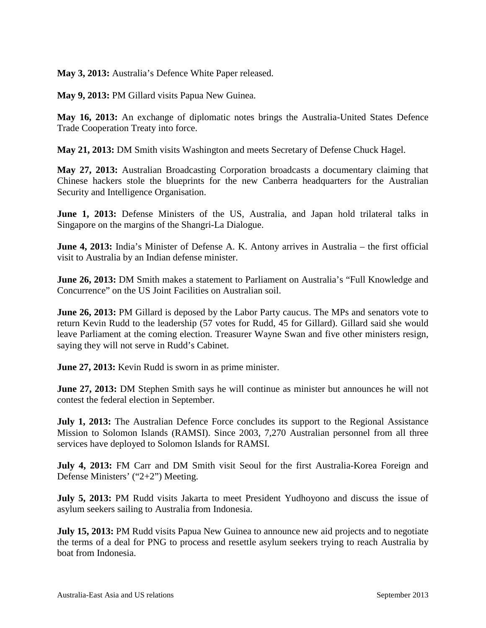**May 3, 2013:** Australia's Defence White Paper released.

**May 9, 2013:** PM Gillard visits Papua New Guinea.

**May 16, 2013:** An exchange of diplomatic notes brings the Australia-United States Defence Trade Cooperation Treaty into force.

**May 21, 2013:** DM Smith visits Washington and meets Secretary of Defense Chuck Hagel.

**May 27, 2013:** Australian Broadcasting Corporation broadcasts a documentary claiming that Chinese hackers stole the blueprints for the new Canberra headquarters for the Australian Security and Intelligence Organisation.

**June 1, 2013:** Defense Ministers of the US, Australia, and Japan hold trilateral talks in Singapore on the margins of the Shangri-La Dialogue.

**June 4, 2013:** India's Minister of Defense A. K. Antony arrives in Australia – the first official visit to Australia by an Indian defense minister.

**June 26, 2013:** DM Smith makes a statement to Parliament on Australia's "Full Knowledge and Concurrence" on the US Joint Facilities on Australian soil.

**June 26, 2013:** PM Gillard is deposed by the Labor Party caucus. The MPs and senators vote to return Kevin Rudd to the leadership (57 votes for Rudd, 45 for Gillard). Gillard said she would leave Parliament at the coming election. Treasurer Wayne Swan and five other ministers resign, saying they will not serve in Rudd's Cabinet.

**June 27, 2013:** Kevin Rudd is sworn in as prime minister.

**June 27, 2013:** DM Stephen Smith says he will continue as minister but announces he will not contest the federal election in September.

**July 1, 2013:** The Australian Defence Force concludes its support to the Regional Assistance Mission to Solomon Islands (RAMSI). Since 2003, 7,270 Australian personnel from all three services have deployed to Solomon Islands for RAMSI.

**July 4, 2013:** FM Carr and DM Smith visit Seoul for the first Australia-Korea Foreign and Defense Ministers' ("2+2") Meeting.

**July 5, 2013:** PM Rudd visits Jakarta to meet President Yudhoyono and discuss the issue of asylum seekers sailing to Australia from Indonesia.

**July 15, 2013:** PM Rudd visits Papua New Guinea to announce new aid projects and to negotiate the terms of a deal for PNG to process and resettle asylum seekers trying to reach Australia by boat from Indonesia.